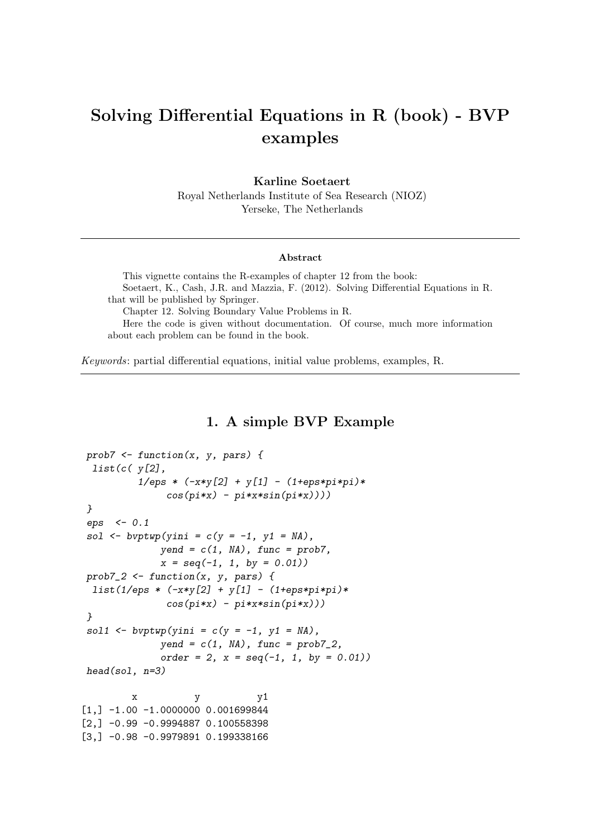# Solving Differential Equations in R (book) - BVP examples

#### Karline Soetaert

Royal Netherlands Institute of Sea Research (NIOZ) Yerseke, The Netherlands

#### Abstract

This vignette contains the R-examples of chapter 12 from the book: Soetaert, K., Cash, J.R. and Mazzia, F. (2012). Solving Differential Equations in R. that will be published by Springer. Chapter 12. Solving Boundary Value Problems in R. Here the code is given without documentation. Of course, much more information about each problem can be found in the book.

Keywords: partial differential equations, initial value problems, examples, R.

## 1. A simple BVP Example

```
prob7 <- function(x, y, pars) {
 list(c( y[2],
          1/eps * (-x*y[2] + y[1] - (1+eps*pi*pi)*
               cos(pi*x) - pi*x*sin(pi*x))))
}
eps <- 0.1
sol \leftarrow \text{bvptwp}(\text{yini} = c(y = -1, y1 = \text{NA}),yend = c(1, NA), func = prob7,
              x = seq(-1, 1, by = 0.01))
prob7_2 <- function(x, y, pars) {
 list(1/eps * (-x*y[2] + y[1] - (1+eps*pi*pi)*
               cos(pi*x) - pi*x*sin(pi*x)))
}
sol1 \left\{ - bvptwp(yini = c(y = -1, y1 = NA),
              yend = c(1, NA), func = prob7_2,
              order = 2, x = seq(-1, 1, by = 0.01))
head(sol, n=3)
         x y y1[1,] -1.00 -1.000000000.001699844[2,] -0.99 -0.9994887 0.100558398
[3,] -0.98 -0.9979891 0.199338166
```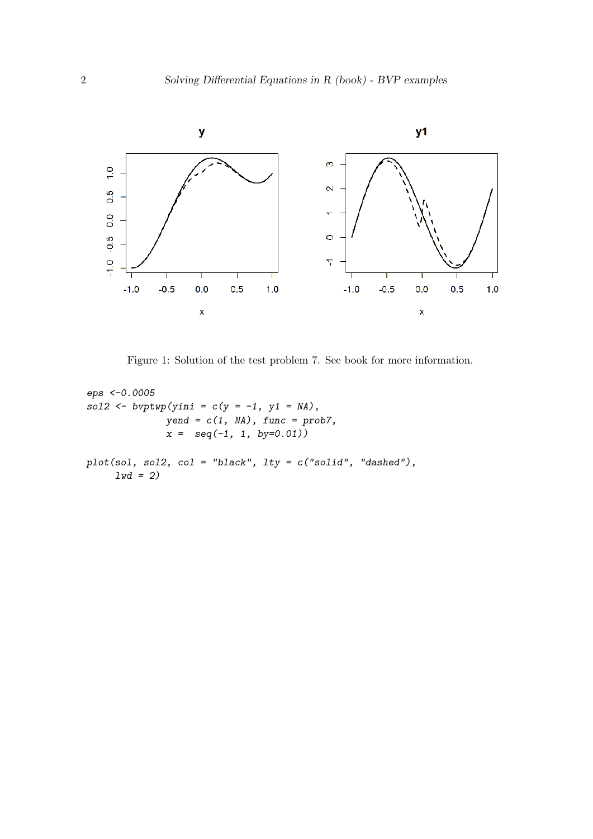

Figure 1: Solution of the test problem 7. See book for more information.

```
eps <-0.0005
sol2 <- bvptwp(yini = c(y = -1, y1 = NA),
              yend = c(1, NA), func = prob7,
              x = seq(-1, 1, by=0.01))
plot(sol, sol2, col = "black", lty = c("solid", "dashed"),
     lwd = 2)
```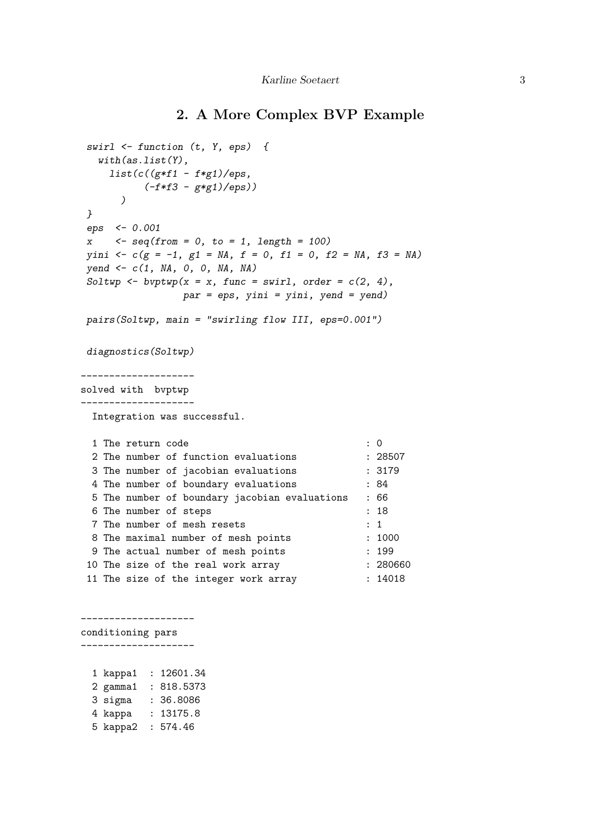## 2. A More Complex BVP Example

```
swirl <- function (t, Y, eps) {
  with(as.list(Y),
    list(c((g*f1 - f*g1)/eps,
         (-f*f3 - g*g1)/eps))
      )
}
eps <- 0.001
x <- seq(from = 0, to = 1, length = 100)
yini <- c(g = -1, g1 = NA, f = 0, f1 = 0, f2 = NA, f3 = NA)
yend <- c(1, NA, 0, 0, NA, NA)
Soltwp \leftarrow bvtwp(x = x, func = switch, order = c(2, 4),par = eps, yini = yini, yend = yend)
pairs(Soltwp, main = "swirling flow III, eps=0.001")
diagnostics(Soltwp)
--------------------
solved with bvptwp
--------------------
 Integration was successful.
 1 The return code : 0
 2 The number of function evaluations : 28507
 3 The number of jacobian evaluations : 3179
 4 The number of boundary evaluations : 84
 5 The number of boundary jacobian evaluations : 66
 6 The number of steps : 18
 7 The number of mesh resets : 1
 8 The maximal number of mesh points : 1000
 9 The actual number of mesh points : 199
 10 The size of the real work array : 280660
11 The size of the integer work array : 14018
--------------------
conditioning pars
--------------------
 1 kappa1 : 12601.34
 2 gamma1 : 818.5373
 3 sigma : 36.8086
 4 kappa : 13175.8
 5 kappa2 : 574.46
```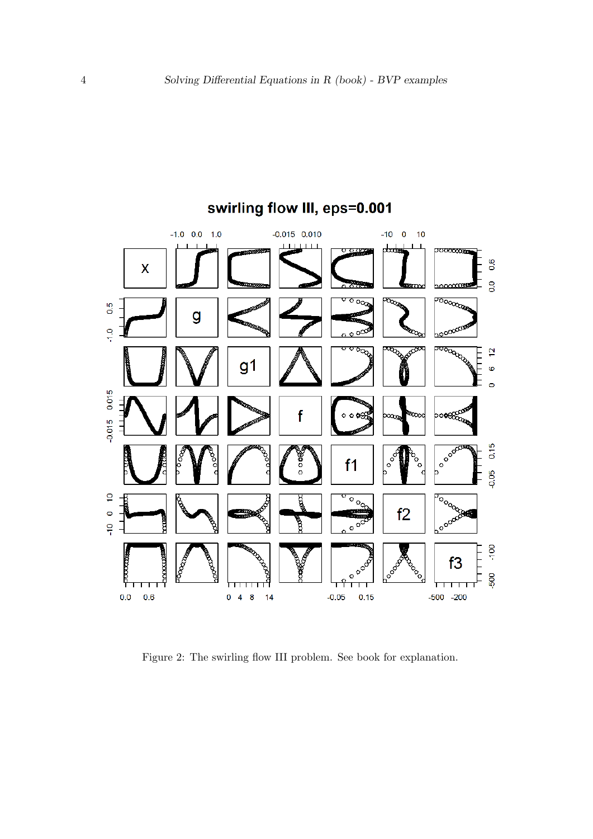

Figure 2: The swirling flow III problem. See book for explanation.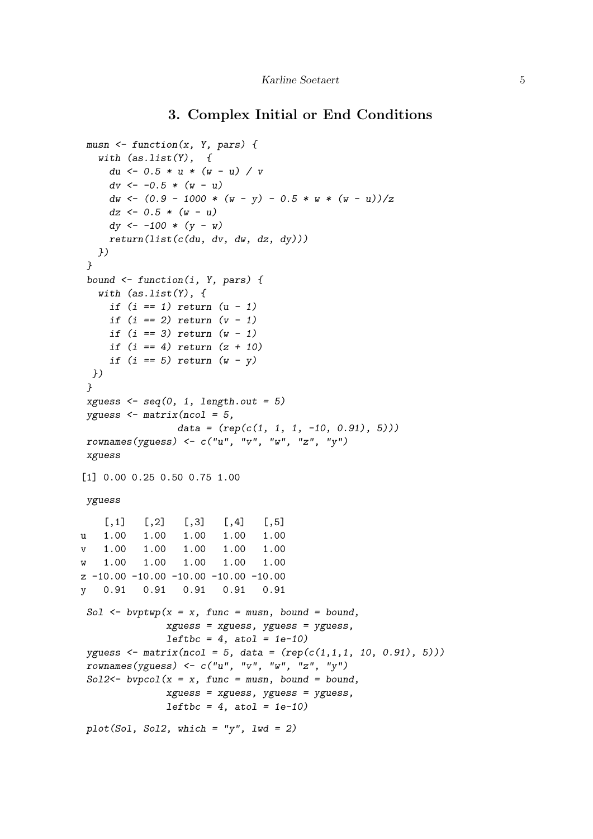## 3. Complex Initial or End Conditions

```
musn <- function(x, Y, pars) {
   with (as.list(Y), {
     du <- 0.5 * u * (w - u) / v
     dv <- -0.5 * (w - u)
     dw <- (0.9 - 1000 * (w - y) - 0.5 * w * (w - u))/z
     dz <- 0.5 * (w - u)
     dy <- -100 * (y - w)
     return(list(c(du, dv, dw, dz, dy)))
   })
 }
 bound <- function(i, Y, pars) {
   with (as.list(Y), {
     if (i == 1) return (u - 1)
     if (i == 2) return (v - 1)
     if (i == 3) return (w - 1)
     if (i == 4) return (z + 10)
     if (i == 5) return (w - y)
 })
 }
 xguess <- seq(0, 1, length.out = 5)
 yguess <- matrix(ncol = 5,
                data = (rep(c(1, 1, 1, -10, 0.91), 5)))
 rownames(yguess) <- c("u", "v", "w", "z", "y")
 xguess
[1] 0.00 0.25 0.50 0.75 1.00
yguess
    [0,1] [0,2] [0,3] [0,4] [0,5]u 1.00 1.00 1.00 1.00 1.00
v 1.00 1.00 1.00 1.00 1.00
w 1.00 1.00 1.00 1.00 1.00
z -10.00 -10.00 -10.00 -10.00 -10.00
y 0.91 0.91 0.91 0.91 0.91
 Sol <- bvptwp(x = x, func = musn, bound = bound,
              xguess = xguess, yguess = yguess,
              leftbc = 4, atol = 1e-10)
 yguess <- matrix(ncol = 5, data = (rep(c(1,1,1, 10, 0.91), 5)))
 rownames(yguess) <- c("u", "v", "w", "z", "y")
 Sol2<- bvpcol(x = x, func = musn, bound = bound,
              xguess = xguess, yguess = yguess,
              leftbc = 4, atol = 1e-10)
 plot(Sol, Sol2, which = "y", lwd = 2)
```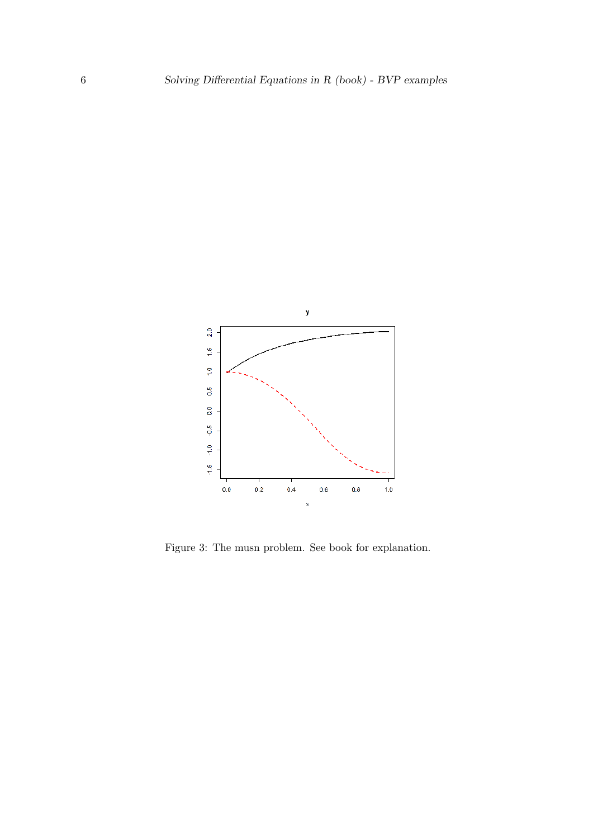

Figure 3: The musn problem. See book for explanation.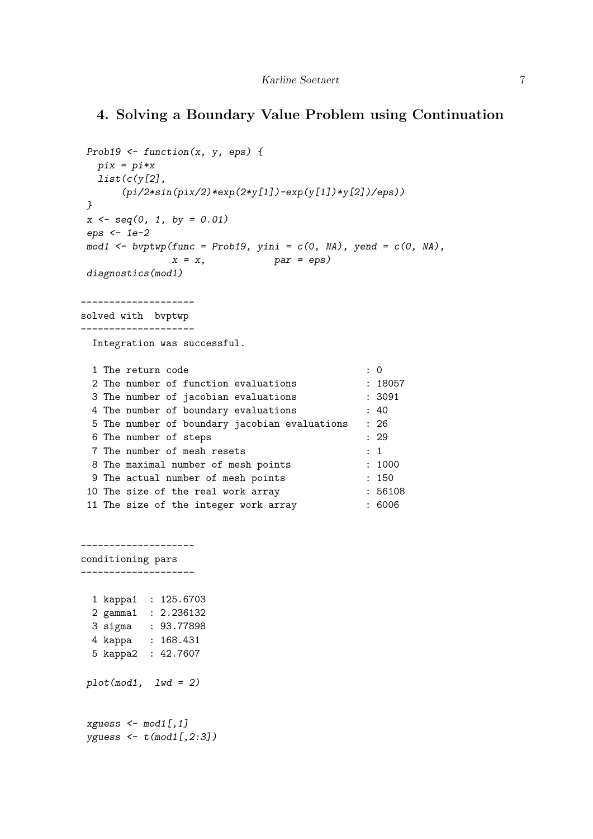## 4. Solving a Boundary Value Problem using Continuation

```
Prob19 <- function(x, y, eps) {
  pix = pi*x
  list(c(y[2],
      (pi/2*sin(pix/2)*exp(2*y[1])-exp(y[1])*y[2])/eps))
}
x <- seq(0, 1, by = 0.01)
eps <- 1e-2
mod1 <- bvptwp(func = Prob19, yini = c(0, NA), yend = c(0, NA),
             x = x, par = eps)
diagnostics(mod1)
 --------------------
solved with bvptwp
--------------------
 Integration was successful.
 1 The return code : 0
 2 The number of function evaluations : 18057
 3 The number of jacobian evaluations : 3091
 4 The number of boundary evaluations : 40
 5 The number of boundary jacobian evaluations : 26
 6 The number of steps : 29
 7 The number of mesh resets : 1
 8 The maximal number of mesh points : 1000
 9 The actual number of mesh points : 150
10 The size of the real work array : 56108
11 The size of the integer work array : 6006
 --------------------
conditioning pars
--------------------
 1 kappa1 : 125.6703
 2 gamma1 : 2.236132
 3 sigma : 93.77898
 4 kappa : 168.431
```
5 kappa2 : 42.7607

*plot(mod1, lwd = 2)*

```
xguess <- mod1[,1]
yguess <- t(mod1[,2:3])
```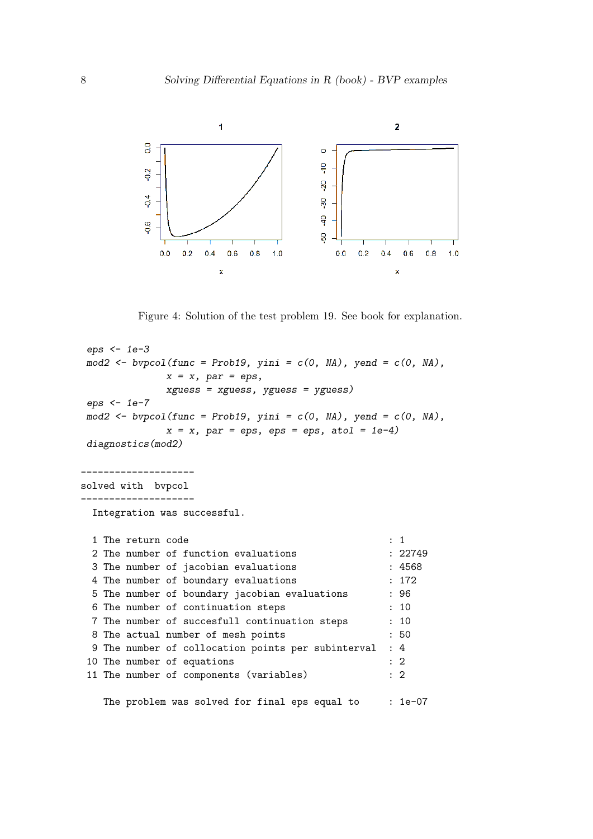

Figure 4: Solution of the test problem 19. See book for explanation.

```
eps <- 1e-3
mod2 <- bvpcol(func = Prob19, yini = c(0, NA), yend = c(0, NA),
            x = x, par = eps,
            xguess = xguess, yguess = yguess)
eps <- 1e-7
mod2 <- bvpcol(func = Prob19, yini = c(0, NA), yend = c(0, NA),
            x = x, par = eps, eps = eps, atol = 1e-4)
diagnostics(mod2)
--------------------
solved with bvpcol
     --------------------
 Integration was successful.
 1 The return code : 1
 2 The number of function evaluations : 22749
 3 The number of jacobian evaluations : 4568
 4 The number of boundary evaluations : 172
 5 The number of boundary jacobian evaluations : 96
 6 The number of continuation steps : 10
 7 The number of succesfull continuation steps : 10
 8 The actual number of mesh points : 50
 9 The number of collocation points per subinterval : 4
10 The number of equations : 2
11 The number of components (variables) : 2
   The problem was solved for final eps equal to : 1e-07
```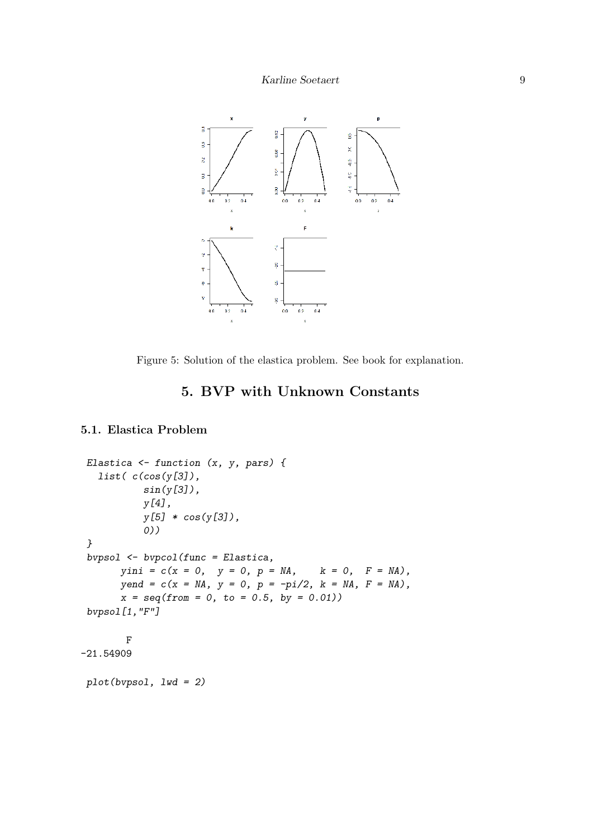

Figure 5: Solution of the elastica problem. See book for explanation.

## 5. BVP with Unknown Constants

#### 5.1. Elastica Problem

```
Elastica <- function (x, y, pars) {
  list( c(cos(y[3]),
          sin(y[3]),
          y[4],
          y[5] * cos(y[3]),
          0))
}
bvpsol <- bvpcol(func = Elastica,
      yini = c(x = 0, y = 0, p = MA, k = 0, F = MA),yend = c(x = NA, y = 0, p = -pi/2, k = NA, F = NA),
      x = seq(from = 0, to = 0.5, by = 0.01))
bvpsol[1,"F"]
       F
-21.54909
plot(bvpsol, lwd = 2)
```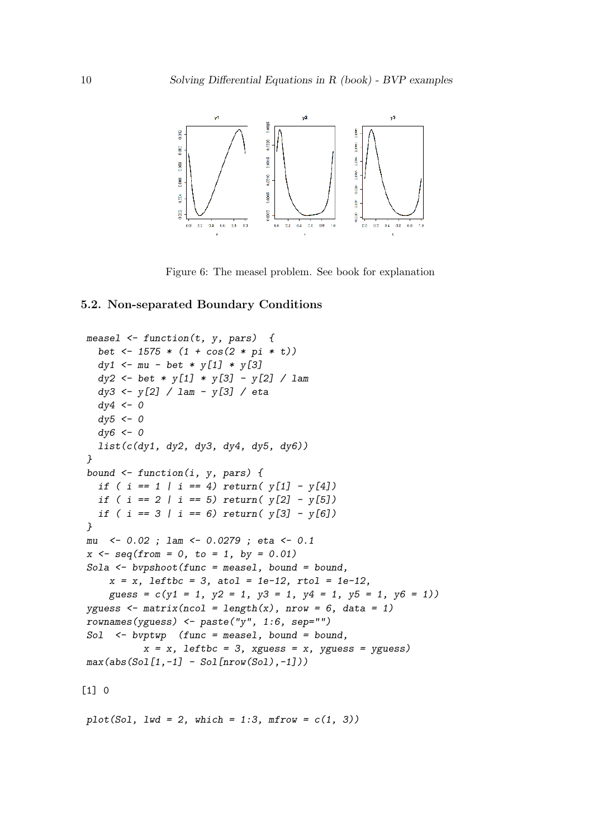

Figure 6: The measel problem. See book for explanation

#### 5.2. Non-separated Boundary Conditions

```
measel <- function(t, y, pars) {
  bet <- 1575 * (1 + cos(2 * pi * t))
  dy1 <- mu - bet * y[1] * y[3]
  dy2 <- bet * y[1] * y[3] - y[2] / lam
  dy3 <- y[2] / lam - y[3] / eta
  dy4 <- 0
  dy5 <- 0
  dy6 <- 0
  list(c(dy1, dy2, dy3, dy4, dy5, dy6))
}
bound <- function(i, y, pars) {
  if ( i == 1 | i == 4) return( y[1] - y[4])
  if ( i == 2 | i == 5) return( y[2] - y[5])
  if ( i == 3 | i == 6) return( y[3] - y[6])
}
mu <- 0.02 ; lam <- 0.0279 ; eta <- 0.1
x <- seq(from = 0, to = 1, by = 0.01)
Sola <- bvpshoot(func = measel, bound = bound,
    x = x, leftbc = 3, atol = 1e-12, rtol = 1e-12,
    guess = c(y1 = 1, y2 = 1, y3 = 1, y4 = 1, y5 = 1, y6 = 1))
yguess \leq matrix(ncol = length(x), nrow = 6, data = 1)rownames(yguess) <- paste("y", 1:6, sep="")
Sol <- bvptwp (func = measel, bound = bound,
          x = x, leftbc = 3, xguess = x, yguess = yguess)
max(abs(Sol[1,-1] - Sol[nrow(Sol),-1]))
[1] 0
```
 $plot(Sol, lwd = 2, which = 1:3, mfrom = c(1, 3))$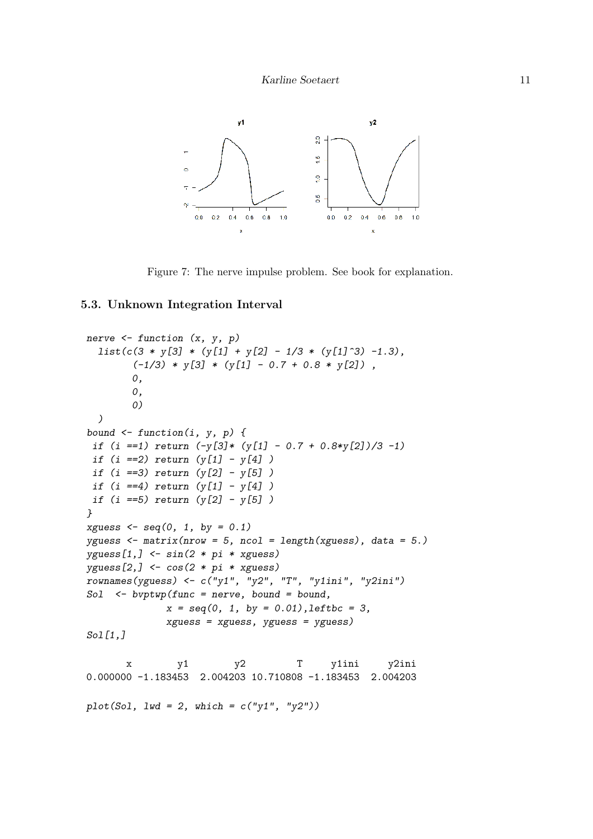

Figure 7: The nerve impulse problem. See book for explanation.

#### 5.3. Unknown Integration Interval

```
nerve <- function (x, y, p)
  list(c(3 * y[3] * (y[1] + y[2] - 1/3 * (y[1]^3) -1.3),
        (-1/3) * y[3] * (y[1] - 0.7 + 0.8 * y[2]) ,
       0,
       0,
        0)
  )
bound <- function(i, y, p) {
 if (i ==1) return (-y[3]* (y[1] - 0.7 + 0.8*y[2])/3 -1)
 if (i ==2) return (y[1] - y[4] )
 if (i ==3) return (y[2] - y[5] )
 if (i ==4) return (y[1] - y[4] )
if (i ==5) return (y[2] - y[5] )
}
xguess <- seq(0, 1, by = 0.1)
yguess <- matrix(nrow = 5, ncol = length(xguess), data = 5.)
yguess[1,] <- sin(2 * pi * xguess)
yguess[2,] <- cos(2 * pi * xguess)
rownames(yguess) <- c("y1", "y2", "T", "y1ini", "y2ini")
Sol <- bvptwp(func = nerve, bound = bound,
             x = seq(0, 1, by = 0.01),leftbc = 3,
             xguess = xguess, yguess = yguess)
Sol[1,]
      x y1 y2 T y1ini y2ini
0.000000 -1.183453 2.004203 10.710808 -1.183453 2.004203
plot(Sol, lwd = 2, which = c("y1", "y2"))
```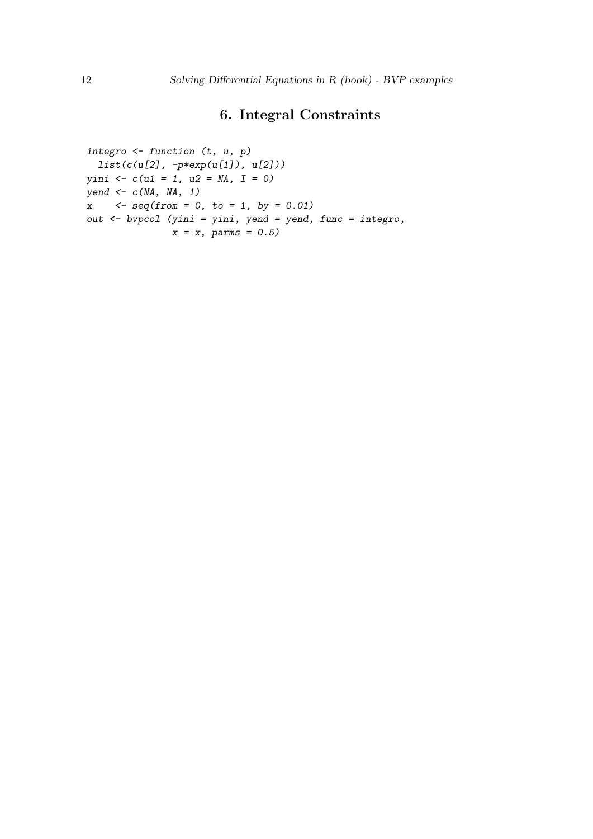## 6. Integral Constraints

```
integro <- function (t, u, p)
 list(c(u[2], -p*exp(u[1]), u[2]))
yini <- c(u1 = 1, u2 = NA, I = 0)
yend <- c(NA, NA, 1)
x <- seq(from = 0, to = 1, by = 0.01)
out <- bvpcol (yini = yini, yend = yend, func = integro,
              x = x, parms = 0.5)
```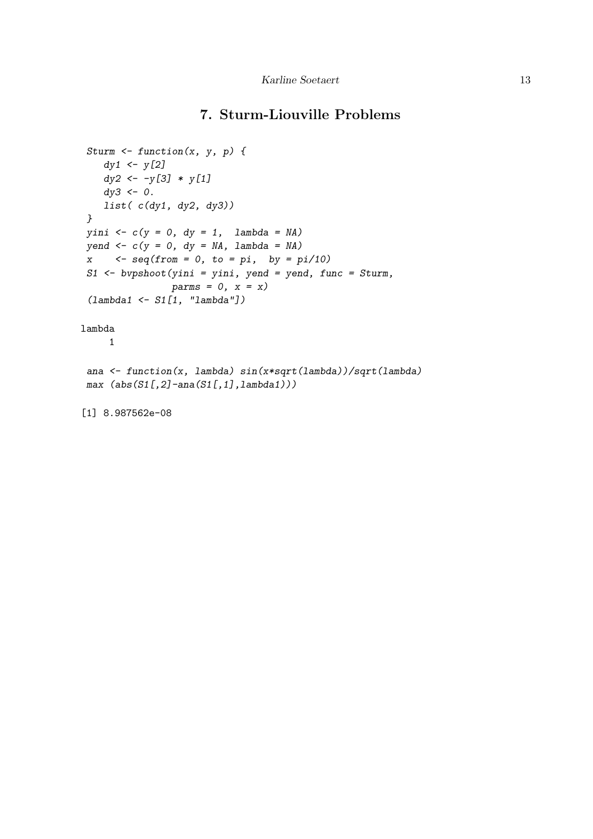## 7. Sturm-Liouville Problems

```
Sturm <- function(x, y, p) {
   dy1 <- y[2]
   dy2 <- -y[3] * y[1]
   dy3 <- 0.
   list( c(dy1, dy2, dy3))
}
yini <- c(y = 0, dy = 1, lambda = NA)
yend <- c(y = 0, dy = NA, lambda = NA)
x <- seq(from = 0, to = pi, by = pi/10)
S1 <- bvpshoot(yini = yini, yend = yend, func = Sturm,
               parms = 0, x = x)
 (lambda1 <- S1[1, "lambda"])
lambda
     1
ana <- function(x, lambda) sin(x*sqrt(lambda))/sqrt(lambda)
max (abs(S1[,2]-ana(S1[,1],lambda1)))
[1] 8.987562e-08
```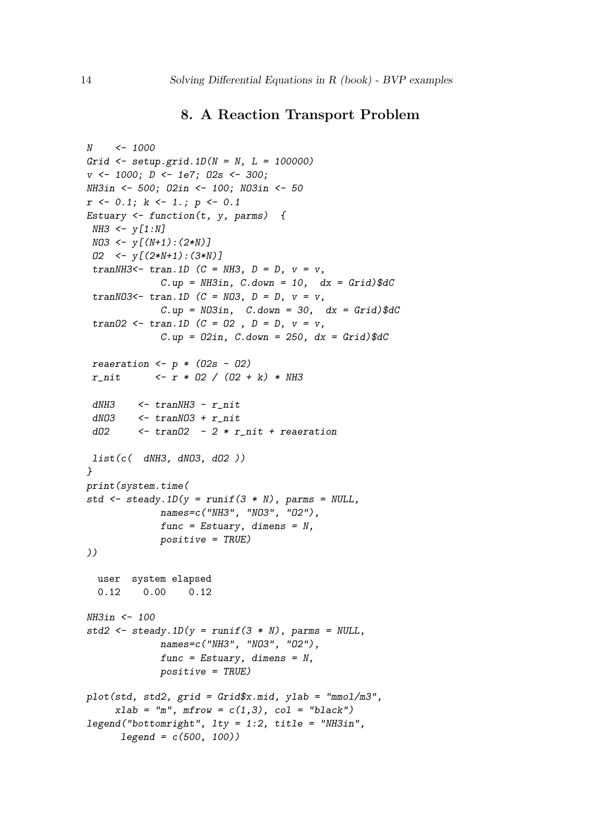## 8. A Reaction Transport Problem

```
N <- 1000
Grid <- setup.grid.1D(N = N, L = 100000)
v <- 1000; D <- 1e7; O2s <- 300;
NH3in <- 500; O2in <- 100; NO3in <- 50
r <- 0.1; k <- 1.; p <- 0.1
Estuary <- function(t, y, parms) {
NH3 <- y[1:N]
NO3 <- y[(N+1):(2*N)]
 O2 <- y[(2*N+1):(3*N)]
 tranNH3<- tran.1D (C = NH3, D = D, v = v,
             C.up = NH3in, C.down = 10, dx = Grid)$dC
 tranNO3<- tran.1D (C = NO3, D = D, v = v,
             C.up = NO3in, C.down = 30, dx = Grid)$dC
 tranO2 <- tran.1D (C = O2 , D = D, v = v,
             C.up = O2in, C.down = 250, dx = Grid)$dC
 reaeration <- p * (O2s - O2)
 r_nit <- r * O2 / (O2 + k) * NH3
 dNH3 <- tranNH3 - r_nit
 dNO3 <- tranNO3 + r_nit
 dO2 <- tranO2 - 2 * r_nit + reaeration
 list(c( dNH3, dNO3, dO2 ))
}
print(system.time(
std <- steady.1D(y = runif(3 * N), parms = NULL,
            names=c("NH3", "NO3", "O2"),
             func = Estuary, dimens = N,
            positive = TRUE)
))
  user system elapsed
  0.12 0.00 0.12
NH3in <- 100
std2 <- steady.1D(y = runif(3 * N), parms = NULL,
             names=c("NH3", "NO3", "O2"),
             func = Estuary, dimens = N,
            positive = TRUE)
plot(std, std2, grid = Grid$x.mid, ylab = "mmol/m3",
     xlab = "m", mfrow = c(1,3), col = "black")
legend("bottomright", lty = 1:2, title = "NH3in",
     legend = c(500, 100))
```